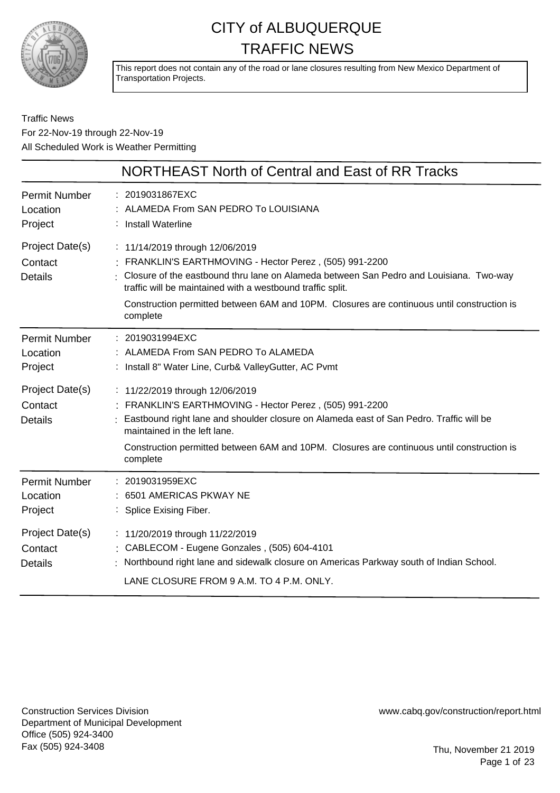

This report does not contain any of the road or lane closures resulting from New Mexico Department of Transportation Projects.

Traffic News For 22-Nov-19 through 22-Nov-19 All Scheduled Work is Weather Permitting

|                                                                                             | NORTHEAST North of Central and East of RR Tracks                                                                                                                                                                                                                                                                                                                                                                                                |
|---------------------------------------------------------------------------------------------|-------------------------------------------------------------------------------------------------------------------------------------------------------------------------------------------------------------------------------------------------------------------------------------------------------------------------------------------------------------------------------------------------------------------------------------------------|
| <b>Permit Number</b><br>Location<br>Project                                                 | : 2019031867EXC<br>: ALAMEDA From SAN PEDRO To LOUISIANA<br>: Install Waterline                                                                                                                                                                                                                                                                                                                                                                 |
| Project Date(s)<br>Contact<br><b>Details</b>                                                | : 11/14/2019 through 12/06/2019<br>: FRANKLIN'S EARTHMOVING - Hector Perez, (505) 991-2200<br>: Closure of the eastbound thru lane on Alameda between San Pedro and Louisiana. Two-way<br>traffic will be maintained with a westbound traffic split.<br>Construction permitted between 6AM and 10PM. Closures are continuous until construction is<br>complete                                                                                  |
| <b>Permit Number</b><br>Location<br>Project<br>Project Date(s)<br>Contact<br><b>Details</b> | : 2019031994EXC<br>: ALAMEDA From SAN PEDRO To ALAMEDA<br>: Install 8" Water Line, Curb& ValleyGutter, AC Pvmt<br>: 11/22/2019 through 12/06/2019<br>FRANKLIN'S EARTHMOVING - Hector Perez, (505) 991-2200<br>Eastbound right lane and shoulder closure on Alameda east of San Pedro. Traffic will be<br>maintained in the left lane.<br>Construction permitted between 6AM and 10PM. Closures are continuous until construction is<br>complete |
| <b>Permit Number</b><br>Location<br>Project                                                 | : 2019031959EXC<br>6501 AMERICAS PKWAY NE<br>: Splice Exising Fiber.                                                                                                                                                                                                                                                                                                                                                                            |
| Project Date(s)<br>Contact<br><b>Details</b>                                                | : 11/20/2019 through 11/22/2019<br>: CABLECOM - Eugene Gonzales, (505) 604-4101<br>Northbound right lane and sidewalk closure on Americas Parkway south of Indian School.<br>LANE CLOSURE FROM 9 A.M. TO 4 P.M. ONLY.                                                                                                                                                                                                                           |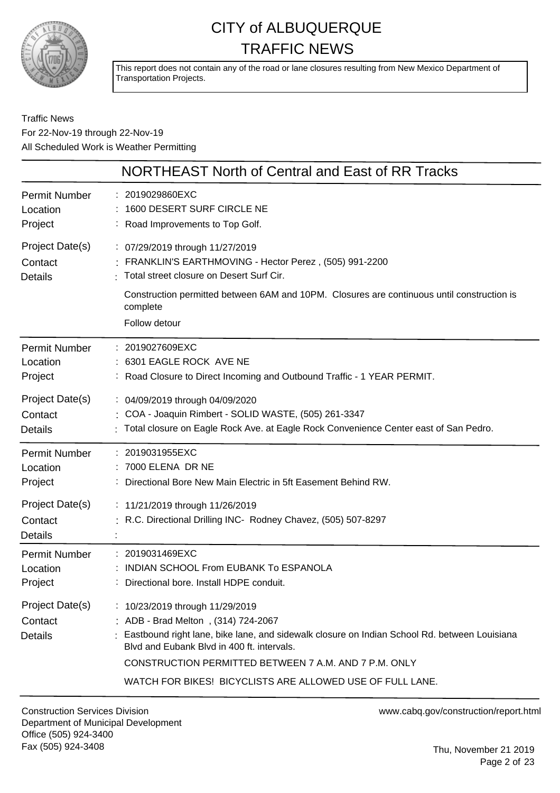

This report does not contain any of the road or lane closures resulting from New Mexico Department of Transportation Projects.

Traffic News For 22-Nov-19 through 22-Nov-19 All Scheduled Work is Weather Permitting

|                                              | NORTHEAST North of Central and East of RR Tracks                                                                                                                                                                                                                                                                                           |
|----------------------------------------------|--------------------------------------------------------------------------------------------------------------------------------------------------------------------------------------------------------------------------------------------------------------------------------------------------------------------------------------------|
| <b>Permit Number</b>                         | : 2019029860EXC                                                                                                                                                                                                                                                                                                                            |
| Location                                     | 1600 DESERT SURF CIRCLE NE                                                                                                                                                                                                                                                                                                                 |
| Project                                      | : Road Improvements to Top Golf.                                                                                                                                                                                                                                                                                                           |
| Project Date(s)<br>Contact<br><b>Details</b> | : 07/29/2019 through 11/27/2019<br>FRANKLIN'S EARTHMOVING - Hector Perez, (505) 991-2200<br>Total street closure on Desert Surf Cir.<br>Construction permitted between 6AM and 10PM. Closures are continuous until construction is                                                                                                         |
|                                              | complete<br>Follow detour                                                                                                                                                                                                                                                                                                                  |
| <b>Permit Number</b>                         | : 2019027609EXC                                                                                                                                                                                                                                                                                                                            |
| Location                                     | 6301 EAGLE ROCK AVE NE                                                                                                                                                                                                                                                                                                                     |
| Project                                      | : Road Closure to Direct Incoming and Outbound Traffic - 1 YEAR PERMIT.                                                                                                                                                                                                                                                                    |
| Project Date(s)                              | : 04/09/2019 through 04/09/2020                                                                                                                                                                                                                                                                                                            |
| Contact                                      | : COA - Joaquin Rimbert - SOLID WASTE, (505) 261-3347                                                                                                                                                                                                                                                                                      |
| <b>Details</b>                               | : Total closure on Eagle Rock Ave. at Eagle Rock Convenience Center east of San Pedro.                                                                                                                                                                                                                                                     |
| <b>Permit Number</b>                         | : 2019031955EXC                                                                                                                                                                                                                                                                                                                            |
| Location                                     | : 7000 ELENA DR NE                                                                                                                                                                                                                                                                                                                         |
| Project                                      | : Directional Bore New Main Electric in 5ft Easement Behind RW.                                                                                                                                                                                                                                                                            |
| Project Date(s)<br>Contact<br>Details        | : 11/21/2019 through 11/26/2019<br>R.C. Directional Drilling INC- Rodney Chavez, (505) 507-8297                                                                                                                                                                                                                                            |
| <b>Permit Number</b>                         | : 2019031469EXC                                                                                                                                                                                                                                                                                                                            |
| Location                                     | INDIAN SCHOOL From EUBANK To ESPANOLA                                                                                                                                                                                                                                                                                                      |
| Project                                      | : Directional bore. Install HDPE conduit.                                                                                                                                                                                                                                                                                                  |
| Project Date(s)<br>Contact<br><b>Details</b> | : 10/23/2019 through 11/29/2019<br>ADB - Brad Melton, (314) 724-2067<br>: Eastbound right lane, bike lane, and sidewalk closure on Indian School Rd. between Louisiana<br>Blyd and Eubank Blyd in 400 ft. intervals.<br>CONSTRUCTION PERMITTED BETWEEN 7 A.M. AND 7 P.M. ONLY<br>WATCH FOR BIKES! BICYCLISTS ARE ALLOWED USE OF FULL LANE. |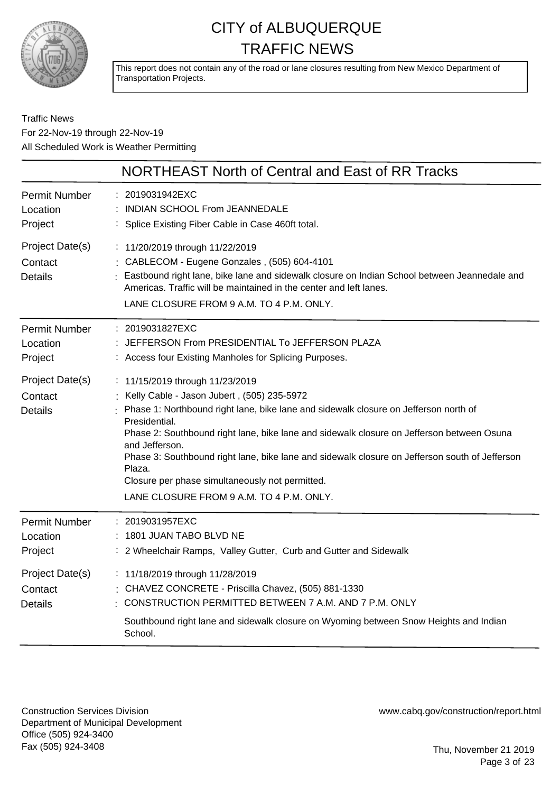

This report does not contain any of the road or lane closures resulting from New Mexico Department of Transportation Projects.

#### Traffic News For 22-Nov-19 through 22-Nov-19 All Scheduled Work is Weather Permitting

|                                              | NORTHEAST North of Central and East of RR Tracks                                                                                                                                                                                                                                                                                                                                                                                                                                                                 |
|----------------------------------------------|------------------------------------------------------------------------------------------------------------------------------------------------------------------------------------------------------------------------------------------------------------------------------------------------------------------------------------------------------------------------------------------------------------------------------------------------------------------------------------------------------------------|
| <b>Permit Number</b><br>Location<br>Project  | : 2019031942EXC<br>INDIAN SCHOOL From JEANNEDALE<br>: Splice Existing Fiber Cable in Case 460ft total.                                                                                                                                                                                                                                                                                                                                                                                                           |
| Project Date(s)<br>Contact<br><b>Details</b> | : 11/20/2019 through 11/22/2019<br>: CABLECOM - Eugene Gonzales, (505) 604-4101<br>: Eastbound right lane, bike lane and sidewalk closure on Indian School between Jeannedale and<br>Americas. Traffic will be maintained in the center and left lanes.<br>LANE CLOSURE FROM 9 A.M. TO 4 P.M. ONLY.                                                                                                                                                                                                              |
| <b>Permit Number</b><br>Location<br>Project  | : 2019031827EXC<br>JEFFERSON From PRESIDENTIAL To JEFFERSON PLAZA<br>: Access four Existing Manholes for Splicing Purposes.                                                                                                                                                                                                                                                                                                                                                                                      |
| Project Date(s)<br>Contact<br><b>Details</b> | : 11/15/2019 through 11/23/2019<br>Kelly Cable - Jason Jubert, (505) 235-5972<br>Phase 1: Northbound right lane, bike lane and sidewalk closure on Jefferson north of<br>Presidential.<br>Phase 2: Southbound right lane, bike lane and sidewalk closure on Jefferson between Osuna<br>and Jefferson.<br>Phase 3: Southbound right lane, bike lane and sidewalk closure on Jefferson south of Jefferson<br>Plaza.<br>Closure per phase simultaneously not permitted.<br>LANE CLOSURE FROM 9 A.M. TO 4 P.M. ONLY. |
| <b>Permit Number</b><br>Location<br>Project  | : 2019031957EXC<br>: 1801 JUAN TABO BLVD NE<br>: 2 Wheelchair Ramps, Valley Gutter, Curb and Gutter and Sidewalk                                                                                                                                                                                                                                                                                                                                                                                                 |
| Project Date(s)<br>Contact<br><b>Details</b> | : 11/18/2019 through 11/28/2019<br>: CHAVEZ CONCRETE - Priscilla Chavez, (505) 881-1330<br>: CONSTRUCTION PERMITTED BETWEEN 7 A.M. AND 7 P.M. ONLY<br>Southbound right lane and sidewalk closure on Wyoming between Snow Heights and Indian<br>School.                                                                                                                                                                                                                                                           |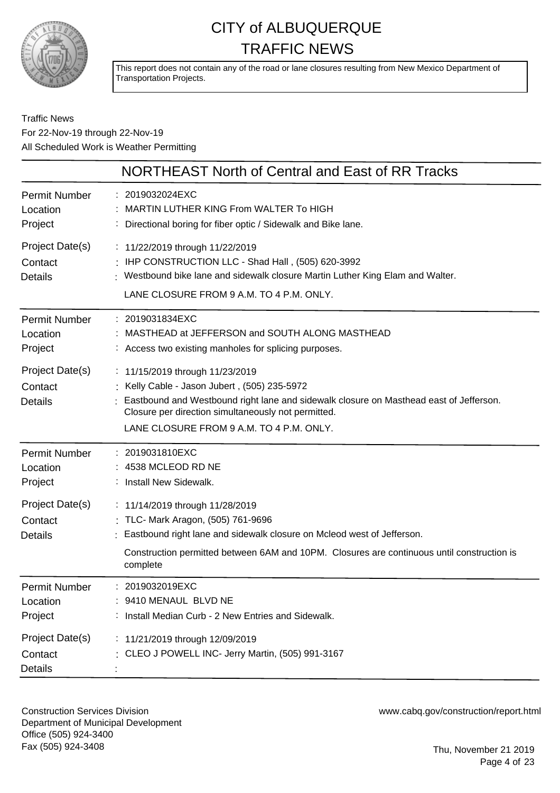

This report does not contain any of the road or lane closures resulting from New Mexico Department of Transportation Projects.

#### Traffic News For 22-Nov-19 through 22-Nov-19 All Scheduled Work is Weather Permitting

|                                              | NORTHEAST North of Central and East of RR Tracks                                                                                                                                                                                                                             |
|----------------------------------------------|------------------------------------------------------------------------------------------------------------------------------------------------------------------------------------------------------------------------------------------------------------------------------|
| <b>Permit Number</b><br>Location<br>Project  | : 2019032024EXC<br>MARTIN LUTHER KING From WALTER To HIGH<br>Directional boring for fiber optic / Sidewalk and Bike lane.                                                                                                                                                    |
| Project Date(s)<br>Contact<br><b>Details</b> | : 11/22/2019 through 11/22/2019<br>: IHP CONSTRUCTION LLC - Shad Hall, (505) 620-3992<br>Westbound bike lane and sidewalk closure Martin Luther King Elam and Walter.<br>LANE CLOSURE FROM 9 A.M. TO 4 P.M. ONLY.                                                            |
| <b>Permit Number</b><br>Location<br>Project  | : 2019031834EXC<br>MASTHEAD at JEFFERSON and SOUTH ALONG MASTHEAD<br>: Access two existing manholes for splicing purposes.                                                                                                                                                   |
| Project Date(s)<br>Contact<br><b>Details</b> | : 11/15/2019 through 11/23/2019<br>: Kelly Cable - Jason Jubert, (505) 235-5972<br>Eastbound and Westbound right lane and sidewalk closure on Masthead east of Jefferson.<br>Closure per direction simultaneously not permitted.<br>LANE CLOSURE FROM 9 A.M. TO 4 P.M. ONLY. |
| <b>Permit Number</b><br>Location<br>Project  | : 2019031810EXC<br>4538 MCLEOD RD NE<br>: Install New Sidewalk.                                                                                                                                                                                                              |
| Project Date(s)<br>Contact<br><b>Details</b> | : 11/14/2019 through 11/28/2019<br>: TLC- Mark Aragon, (505) 761-9696<br>Eastbound right lane and sidewalk closure on Mcleod west of Jefferson.<br>Construction permitted between 6AM and 10PM. Closures are continuous until construction is<br>complete                    |
| <b>Permit Number</b><br>Location<br>Project  | : 2019032019EXC<br>: 9410 MENAUL BLVD NE<br>: Install Median Curb - 2 New Entries and Sidewalk.                                                                                                                                                                              |
| Project Date(s)<br>Contact<br><b>Details</b> | : 11/21/2019 through 12/09/2019<br>: CLEO J POWELL INC- Jerry Martin, (505) 991-3167                                                                                                                                                                                         |

Construction Services Division Department of Municipal Development Office (505) 924-3400 Fax (505) 924-3408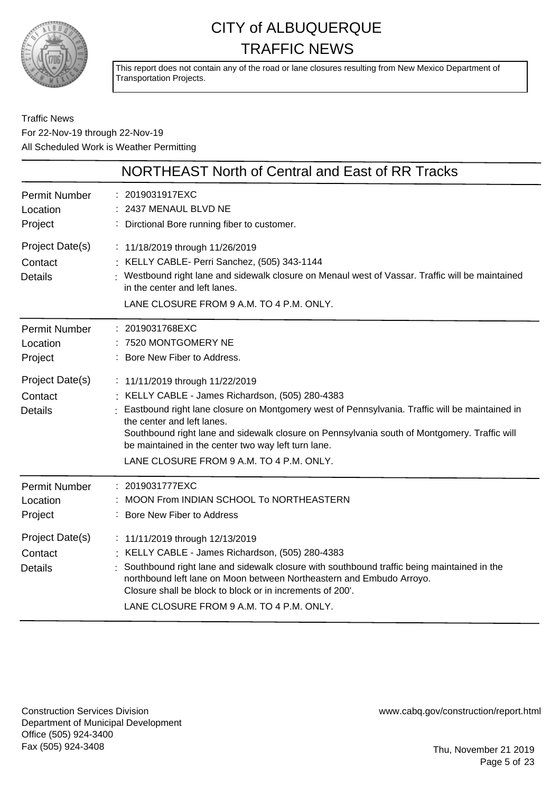

This report does not contain any of the road or lane closures resulting from New Mexico Department of Transportation Projects.

Traffic News For 22-Nov-19 through 22-Nov-19 All Scheduled Work is Weather Permitting

|                                              | NORTHEAST North of Central and East of RR Tracks                                                                                                                                                                                                                                                                                                                                                                       |
|----------------------------------------------|------------------------------------------------------------------------------------------------------------------------------------------------------------------------------------------------------------------------------------------------------------------------------------------------------------------------------------------------------------------------------------------------------------------------|
| <b>Permit Number</b><br>Location<br>Project  | : 2019031917EXC<br>: 2437 MENAUL BLVD NE<br>: Dirctional Bore running fiber to customer.                                                                                                                                                                                                                                                                                                                               |
| Project Date(s)<br>Contact<br><b>Details</b> | : 11/18/2019 through 11/26/2019<br>: KELLY CABLE- Perri Sanchez, (505) 343-1144<br>: Westbound right lane and sidewalk closure on Menaul west of Vassar. Traffic will be maintained<br>in the center and left lanes.<br>LANE CLOSURE FROM 9 A.M. TO 4 P.M. ONLY.                                                                                                                                                       |
| <b>Permit Number</b><br>Location<br>Project  | : 2019031768EXC<br>7520 MONTGOMERY NE<br>: Bore New Fiber to Address.                                                                                                                                                                                                                                                                                                                                                  |
| Project Date(s)<br>Contact<br><b>Details</b> | : 11/11/2019 through 11/22/2019<br>: KELLY CABLE - James Richardson, (505) 280-4383<br>Eastbound right lane closure on Montgomery west of Pennsylvania. Traffic will be maintained in<br>the center and left lanes.<br>Southbound right lane and sidewalk closure on Pennsylvania south of Montgomery. Traffic will<br>be maintained in the center two way left turn lane.<br>LANE CLOSURE FROM 9 A.M. TO 4 P.M. ONLY. |
| <b>Permit Number</b><br>Location<br>Project  | : 2019031777EXC<br>MOON From INDIAN SCHOOL To NORTHEASTERN<br>: Bore New Fiber to Address                                                                                                                                                                                                                                                                                                                              |
| Project Date(s)<br>Contact<br><b>Details</b> | : 11/11/2019 through 12/13/2019<br>: KELLY CABLE - James Richardson, (505) 280-4383<br>Southbound right lane and sidewalk closure with southbound traffic being maintained in the<br>northbound left lane on Moon between Northeastern and Embudo Arroyo.<br>Closure shall be block to block or in increments of 200'.<br>LANE CLOSURE FROM 9 A.M. TO 4 P.M. ONLY.                                                     |

Construction Services Division Department of Municipal Development Office (505) 924-3400 Fax (505) 924-3408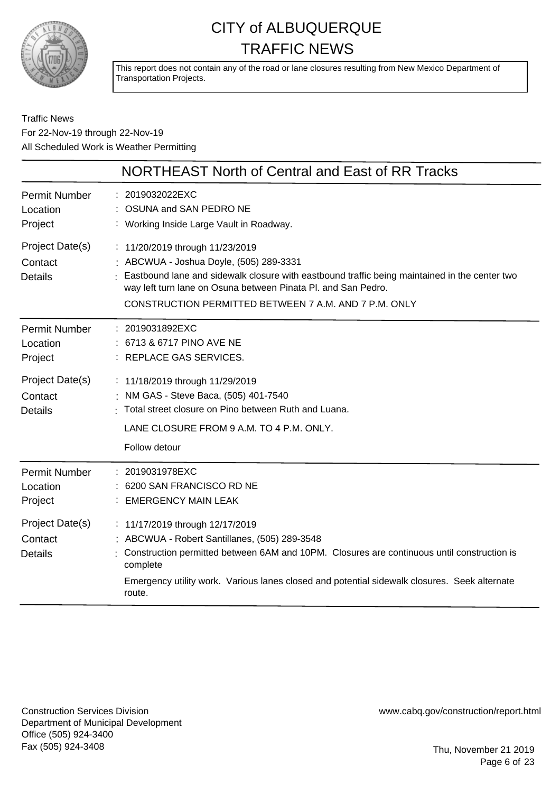

This report does not contain any of the road or lane closures resulting from New Mexico Department of Transportation Projects.

Traffic News For 22-Nov-19 through 22-Nov-19 All Scheduled Work is Weather Permitting

|                                              | NORTHEAST North of Central and East of RR Tracks                                                                                                                                                                                                                                                      |
|----------------------------------------------|-------------------------------------------------------------------------------------------------------------------------------------------------------------------------------------------------------------------------------------------------------------------------------------------------------|
| <b>Permit Number</b><br>Location<br>Project  | : 2019032022EXC<br>: OSUNA and SAN PEDRO NE<br>: Working Inside Large Vault in Roadway.                                                                                                                                                                                                               |
| Project Date(s)<br>Contact<br><b>Details</b> | : 11/20/2019 through 11/23/2019<br>: ABCWUA - Joshua Doyle, (505) 289-3331<br>Eastbound lane and sidewalk closure with eastbound traffic being maintained in the center two<br>way left turn lane on Osuna between Pinata PI. and San Pedro.<br>CONSTRUCTION PERMITTED BETWEEN 7 A.M. AND 7 P.M. ONLY |
| Permit Number<br>Location<br>Project         | : 2019031892EXC<br>: 6713 & 6717 PINO AVE NE<br>: REPLACE GAS SERVICES.                                                                                                                                                                                                                               |
| Project Date(s)<br>Contact<br>Details        | : 11/18/2019 through 11/29/2019<br>: NM GAS - Steve Baca, (505) 401-7540<br>: Total street closure on Pino between Ruth and Luana.<br>LANE CLOSURE FROM 9 A.M. TO 4 P.M. ONLY.<br>Follow detour                                                                                                       |
| <b>Permit Number</b><br>Location<br>Project  | : 2019031978EXC<br>6200 SAN FRANCISCO RD NE<br><b>EMERGENCY MAIN LEAK</b>                                                                                                                                                                                                                             |
| Project Date(s)<br>Contact<br><b>Details</b> | : 11/17/2019 through 12/17/2019<br>: ABCWUA - Robert Santillanes, (505) 289-3548<br>Construction permitted between 6AM and 10PM. Closures are continuous until construction is<br>complete<br>Emergency utility work. Various lanes closed and potential sidewalk closures. Seek alternate<br>route.  |

Construction Services Division Department of Municipal Development Office (505) 924-3400 Fax (505) 924-3408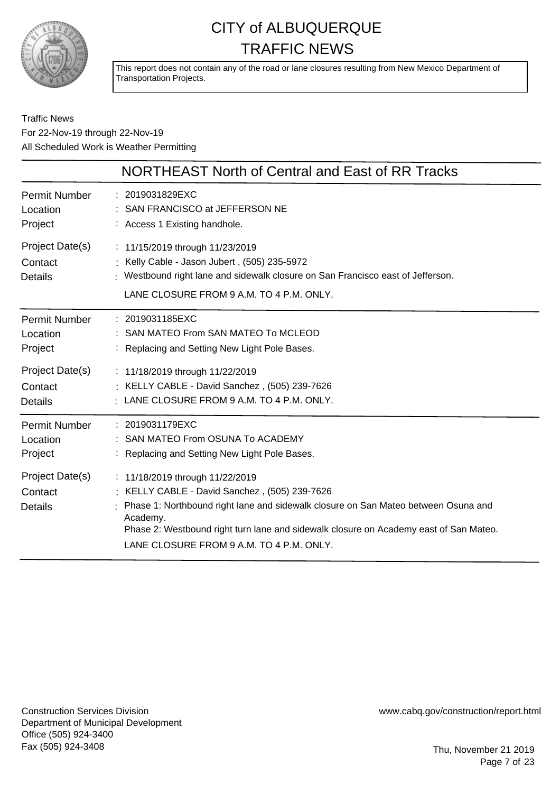

This report does not contain any of the road or lane closures resulting from New Mexico Department of Transportation Projects.

#### Traffic News For 22-Nov-19 through 22-Nov-19 All Scheduled Work is Weather Permitting

|                                              | NORTHEAST North of Central and East of RR Tracks                                                                                                                                                                                                                                                                        |
|----------------------------------------------|-------------------------------------------------------------------------------------------------------------------------------------------------------------------------------------------------------------------------------------------------------------------------------------------------------------------------|
| <b>Permit Number</b>                         | : 2019031829EXC                                                                                                                                                                                                                                                                                                         |
| Location                                     | SAN FRANCISCO at JEFFERSON NE                                                                                                                                                                                                                                                                                           |
| Project                                      | : Access 1 Existing handhole.                                                                                                                                                                                                                                                                                           |
| Project Date(s)<br>Contact<br>Details        | : 11/15/2019 through 11/23/2019<br>: Kelly Cable - Jason Jubert, (505) 235-5972<br>Westbound right lane and sidewalk closure on San Francisco east of Jefferson.<br>LANE CLOSURE FROM 9 A.M. TO 4 P.M. ONLY.                                                                                                            |
| <b>Permit Number</b>                         | : 2019031185EXC                                                                                                                                                                                                                                                                                                         |
| Location                                     | SAN MATEO From SAN MATEO To MCLEOD                                                                                                                                                                                                                                                                                      |
| Project                                      | : Replacing and Setting New Light Pole Bases.                                                                                                                                                                                                                                                                           |
| Project Date(s)                              | : 11/18/2019 through 11/22/2019                                                                                                                                                                                                                                                                                         |
| Contact                                      | : KELLY CABLE - David Sanchez, (505) 239-7626                                                                                                                                                                                                                                                                           |
| <b>Details</b>                               | $\cdot$ LANE CLOSURE FROM 9 A.M. TO 4 P.M. ONLY.                                                                                                                                                                                                                                                                        |
| <b>Permit Number</b>                         | : 2019031179EXC                                                                                                                                                                                                                                                                                                         |
| Location                                     | : SAN MATEO From OSUNA To ACADEMY                                                                                                                                                                                                                                                                                       |
| Project                                      | : Replacing and Setting New Light Pole Bases.                                                                                                                                                                                                                                                                           |
| Project Date(s)<br>Contact<br><b>Details</b> | : 11/18/2019 through 11/22/2019<br>: KELLY CABLE - David Sanchez, (505) 239-7626<br>Phase 1: Northbound right lane and sidewalk closure on San Mateo between Osuna and<br>Academy.<br>Phase 2: Westbound right turn lane and sidewalk closure on Academy east of San Mateo.<br>LANE CLOSURE FROM 9 A.M. TO 4 P.M. ONLY. |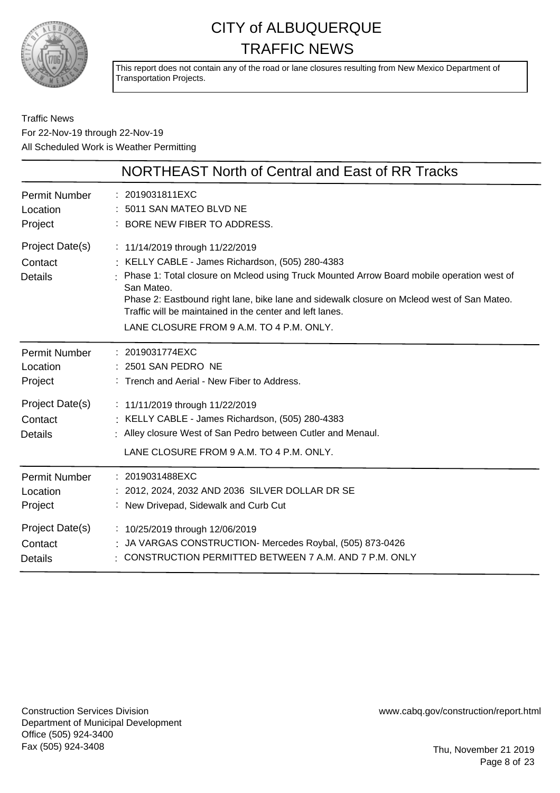

This report does not contain any of the road or lane closures resulting from New Mexico Department of Transportation Projects.

Traffic News For 22-Nov-19 through 22-Nov-19 All Scheduled Work is Weather Permitting

|                                              | NORTHEAST North of Central and East of RR Tracks                                                                                                                                                                                                                                                                                                                                                       |
|----------------------------------------------|--------------------------------------------------------------------------------------------------------------------------------------------------------------------------------------------------------------------------------------------------------------------------------------------------------------------------------------------------------------------------------------------------------|
| <b>Permit Number</b>                         | : 2019031811EXC                                                                                                                                                                                                                                                                                                                                                                                        |
| Location                                     | : 5011 SAN MATEO BLVD NE                                                                                                                                                                                                                                                                                                                                                                               |
| Project                                      | : BORE NEW FIBER TO ADDRESS.                                                                                                                                                                                                                                                                                                                                                                           |
| Project Date(s)<br>Contact<br><b>Details</b> | : 11/14/2019 through 11/22/2019<br>: KELLY CABLE - James Richardson, (505) 280-4383<br>: Phase 1: Total closure on Mcleod using Truck Mounted Arrow Board mobile operation west of<br>San Mateo.<br>Phase 2: Eastbound right lane, bike lane and sidewalk closure on Mcleod west of San Mateo.<br>Traffic will be maintained in the center and left lanes.<br>LANE CLOSURE FROM 9 A.M. TO 4 P.M. ONLY. |
| <b>Permit Number</b>                         | : 2019031774EXC                                                                                                                                                                                                                                                                                                                                                                                        |
| Location                                     | : 2501 SAN PEDRO NE                                                                                                                                                                                                                                                                                                                                                                                    |
| Project                                      | : Trench and Aerial - New Fiber to Address.                                                                                                                                                                                                                                                                                                                                                            |
| Project Date(s)<br>Contact<br><b>Details</b> | : 11/11/2019 through 11/22/2019<br>: KELLY CABLE - James Richardson, (505) 280-4383<br>: Alley closure West of San Pedro between Cutler and Menaul.<br>LANE CLOSURE FROM 9 A.M. TO 4 P.M. ONLY.                                                                                                                                                                                                        |
| <b>Permit Number</b>                         | : 2019031488EXC                                                                                                                                                                                                                                                                                                                                                                                        |
| Location                                     | : 2012, 2024, 2032 AND 2036 SILVER DOLLAR DR SE                                                                                                                                                                                                                                                                                                                                                        |
| Project                                      | : New Drivepad, Sidewalk and Curb Cut                                                                                                                                                                                                                                                                                                                                                                  |
| Project Date(s)                              | : 10/25/2019 through 12/06/2019                                                                                                                                                                                                                                                                                                                                                                        |
| Contact                                      | : JA VARGAS CONSTRUCTION- Mercedes Roybal, (505) 873-0426                                                                                                                                                                                                                                                                                                                                              |
| <b>Details</b>                               | : CONSTRUCTION PERMITTED BETWEEN 7 A.M. AND 7 P.M. ONLY                                                                                                                                                                                                                                                                                                                                                |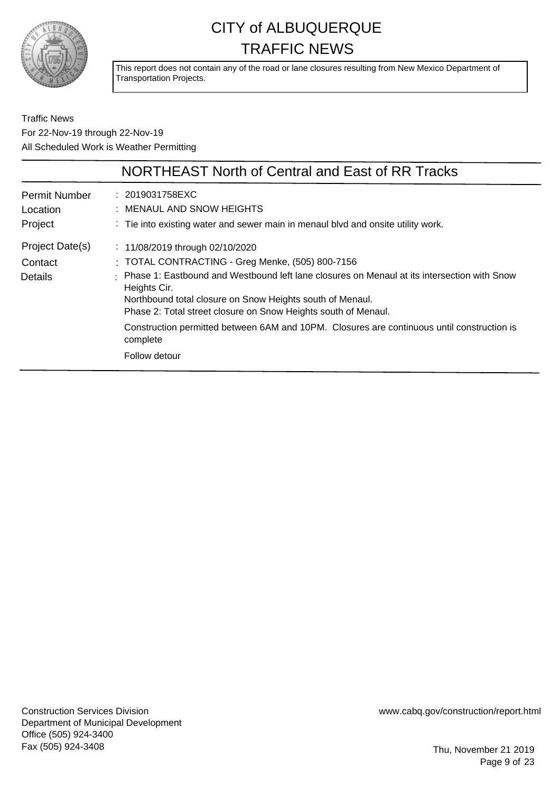

This report does not contain any of the road or lane closures resulting from New Mexico Department of Transportation Projects.

Traffic News For 22-Nov-19 through 22-Nov-19 All Scheduled Work is Weather Permitting

|                                              | NORTHEAST North of Central and East of RR Tracks                                                                                                                                                                                                                                                                                                                                                                                              |
|----------------------------------------------|-----------------------------------------------------------------------------------------------------------------------------------------------------------------------------------------------------------------------------------------------------------------------------------------------------------------------------------------------------------------------------------------------------------------------------------------------|
| Permit Number<br>Location<br>Project         | : 2019031758EXC<br>: MENAUL AND SNOW HEIGHTS<br>: Tie into existing water and sewer main in menaul blvd and onsite utility work.                                                                                                                                                                                                                                                                                                              |
| Project Date(s)<br>Contact<br><b>Details</b> | : $11/08/2019$ through 02/10/2020<br>: TOTAL CONTRACTING - Greg Menke, (505) 800-7156<br>Phase 1: Eastbound and Westbound left lane closures on Menaul at its intersection with Snow<br>Heights Cir.<br>Northbound total closure on Snow Heights south of Menaul.<br>Phase 2: Total street closure on Snow Heights south of Menaul.<br>Construction permitted between 6AM and 10PM. Closures are continuous until construction is<br>complete |
|                                              | Follow detour                                                                                                                                                                                                                                                                                                                                                                                                                                 |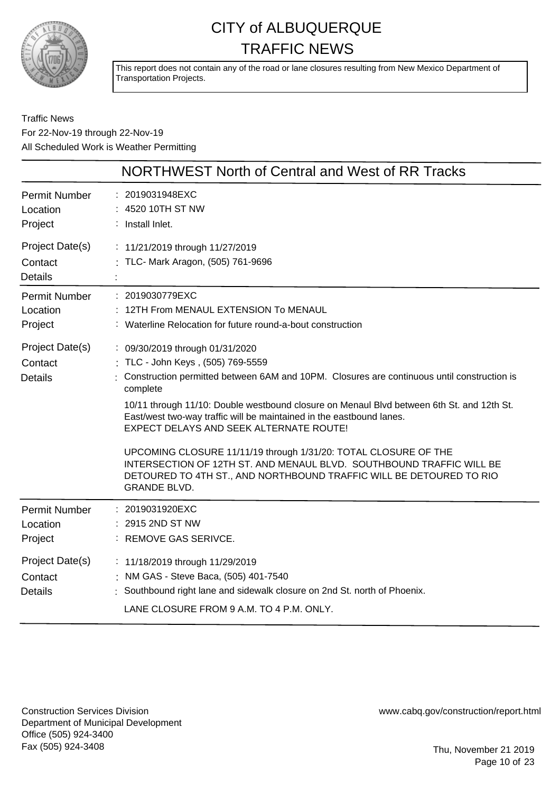

This report does not contain any of the road or lane closures resulting from New Mexico Department of Transportation Projects.

#### Traffic News For 22-Nov-19 through 22-Nov-19 All Scheduled Work is Weather Permitting

|                                              | NORTHWEST North of Central and West of RR Tracks                                                                                                                                                                                                                                                                                                                                                                                                                                                                                                                                                                                      |
|----------------------------------------------|---------------------------------------------------------------------------------------------------------------------------------------------------------------------------------------------------------------------------------------------------------------------------------------------------------------------------------------------------------------------------------------------------------------------------------------------------------------------------------------------------------------------------------------------------------------------------------------------------------------------------------------|
| Permit Number<br>Location<br>Project         | : 2019031948EXC<br>: 4520 10TH ST NW<br>: Install Inlet.                                                                                                                                                                                                                                                                                                                                                                                                                                                                                                                                                                              |
| Project Date(s)<br>Contact<br><b>Details</b> | : 11/21/2019 through 11/27/2019<br>: TLC- Mark Aragon, (505) 761-9696                                                                                                                                                                                                                                                                                                                                                                                                                                                                                                                                                                 |
| Permit Number<br>Location<br>Project         | : 2019030779EXC<br>12TH From MENAUL EXTENSION To MENAUL<br>: Waterline Relocation for future round-a-bout construction                                                                                                                                                                                                                                                                                                                                                                                                                                                                                                                |
| Project Date(s)<br>Contact<br><b>Details</b> | : 09/30/2019 through 01/31/2020<br>TLC - John Keys, (505) 769-5559<br>Construction permitted between 6AM and 10PM. Closures are continuous until construction is<br>complete<br>10/11 through 11/10: Double westbound closure on Menaul Blvd between 6th St. and 12th St.<br>East/west two-way traffic will be maintained in the eastbound lanes.<br>EXPECT DELAYS AND SEEK ALTERNATE ROUTE!<br>UPCOMING CLOSURE 11/11/19 through 1/31/20: TOTAL CLOSURE OF THE<br>INTERSECTION OF 12TH ST. AND MENAUL BLVD. SOUTHBOUND TRAFFIC WILL BE<br>DETOURED TO 4TH ST., AND NORTHBOUND TRAFFIC WILL BE DETOURED TO RIO<br><b>GRANDE BLVD.</b> |
| <b>Permit Number</b><br>Location<br>Project  | : 2019031920EXC<br>2915 2ND ST NW<br>: REMOVE GAS SERIVCE.                                                                                                                                                                                                                                                                                                                                                                                                                                                                                                                                                                            |
| Project Date(s)<br>Contact<br><b>Details</b> | : 11/18/2019 through 11/29/2019<br>: NM GAS - Steve Baca, (505) 401-7540<br>Southbound right lane and sidewalk closure on 2nd St. north of Phoenix.<br>LANE CLOSURE FROM 9 A.M. TO 4 P.M. ONLY.                                                                                                                                                                                                                                                                                                                                                                                                                                       |

Construction Services Division Department of Municipal Development Office (505) 924-3400 Fax (505) 924-3408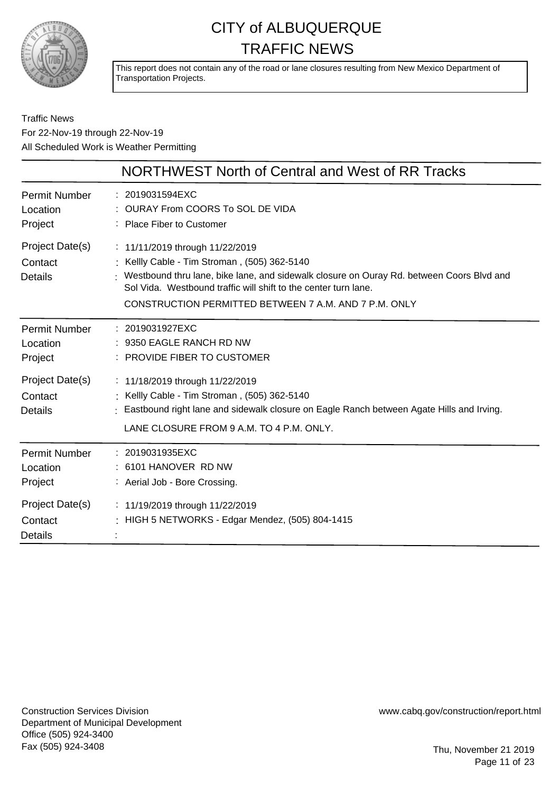

This report does not contain any of the road or lane closures resulting from New Mexico Department of Transportation Projects.

Traffic News For 22-Nov-19 through 22-Nov-19 All Scheduled Work is Weather Permitting

|                                              | NORTHWEST North of Central and West of RR Tracks                                                                                                                                                                                                                                                          |
|----------------------------------------------|-----------------------------------------------------------------------------------------------------------------------------------------------------------------------------------------------------------------------------------------------------------------------------------------------------------|
| <b>Permit Number</b><br>Location<br>Project  | : 2019031594EXC<br>: OURAY From COORS To SOL DE VIDA<br>: Place Fiber to Customer                                                                                                                                                                                                                         |
| Project Date(s)<br>Contact<br><b>Details</b> | : 11/11/2019 through 11/22/2019<br>: Kellly Cable - Tim Stroman, (505) 362-5140<br>: Westbound thru lane, bike lane, and sidewalk closure on Ouray Rd. between Coors Blvd and<br>Sol Vida. Westbound traffic will shift to the center turn lane.<br>CONSTRUCTION PERMITTED BETWEEN 7 A.M. AND 7 P.M. ONLY |
| <b>Permit Number</b><br>Location<br>Project  | : 2019031927EXC<br>: 9350 EAGLE RANCH RD NW<br>: PROVIDE FIBER TO CUSTOMER                                                                                                                                                                                                                                |
| Project Date(s)<br>Contact<br>Details        | : 11/18/2019 through 11/22/2019<br>: Kellly Cable - Tim Stroman, (505) 362-5140<br>: Eastbound right lane and sidewalk closure on Eagle Ranch between Agate Hills and Irving.<br>LANE CLOSURE FROM 9 A.M. TO 4 P.M. ONLY.                                                                                 |
| <b>Permit Number</b><br>Location<br>Project  | : 2019031935EXC<br>: 6101 HANOVER RD NW<br>: Aerial Job - Bore Crossing.                                                                                                                                                                                                                                  |
| Project Date(s)<br>Contact<br><b>Details</b> | : 11/19/2019 through 11/22/2019<br>: HIGH 5 NETWORKS - Edgar Mendez, $(505)$ 804-1415                                                                                                                                                                                                                     |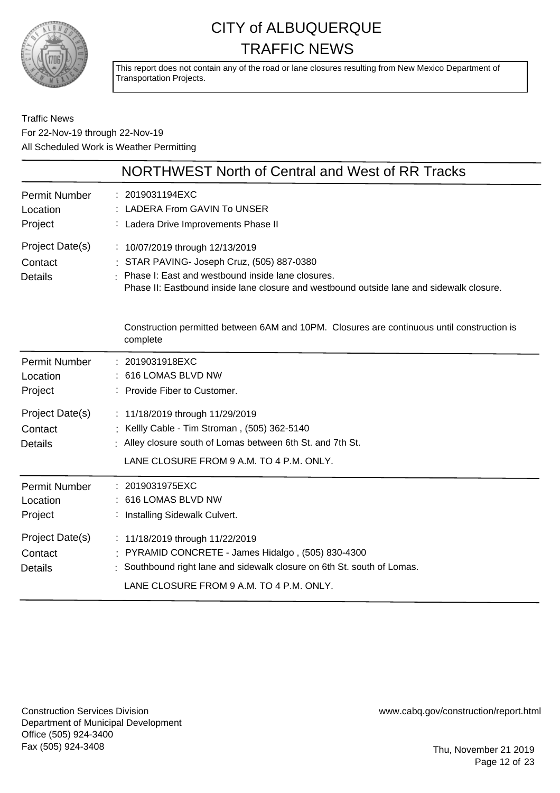

This report does not contain any of the road or lane closures resulting from New Mexico Department of Transportation Projects.

#### Traffic News For 22-Nov-19 through 22-Nov-19 All Scheduled Work is Weather Permitting

|                                              | NORTHWEST North of Central and West of RR Tracks                                                                                                                                                                                 |
|----------------------------------------------|----------------------------------------------------------------------------------------------------------------------------------------------------------------------------------------------------------------------------------|
| <b>Permit Number</b><br>Location<br>Project  | : 2019031194EXC<br>LADERA From GAVIN To UNSER<br>: Ladera Drive Improvements Phase II                                                                                                                                            |
| Project Date(s)<br>Contact<br><b>Details</b> | : 10/07/2019 through 12/13/2019<br>: STAR PAVING- Joseph Cruz, (505) 887-0380<br>: Phase I: East and westbound inside lane closures.<br>Phase II: Eastbound inside lane closure and westbound outside lane and sidewalk closure. |
|                                              | Construction permitted between 6AM and 10PM. Closures are continuous until construction is<br>complete                                                                                                                           |
| <b>Permit Number</b><br>Location<br>Project  | : 2019031918EXC<br>: 616 LOMAS BLVD NW<br>: Provide Fiber to Customer.                                                                                                                                                           |
| Project Date(s)<br>Contact<br><b>Details</b> | : 11/18/2019 through 11/29/2019<br>: Kellly Cable - Tim Stroman, (505) 362-5140<br>: Alley closure south of Lomas between 6th St. and 7th St.<br>LANE CLOSURE FROM 9 A.M. TO 4 P.M. ONLY.                                        |
| <b>Permit Number</b><br>Location<br>Project  | : 2019031975EXC<br>: 616 LOMAS BLVD NW<br>: Installing Sidewalk Culvert.                                                                                                                                                         |
| Project Date(s)<br>Contact<br><b>Details</b> | : 11/18/2019 through 11/22/2019<br>: PYRAMID CONCRETE - James Hidalgo, (505) 830-4300<br>: Southbound right lane and sidewalk closure on 6th St. south of Lomas.<br>LANE CLOSURE FROM 9 A.M. TO 4 P.M. ONLY.                     |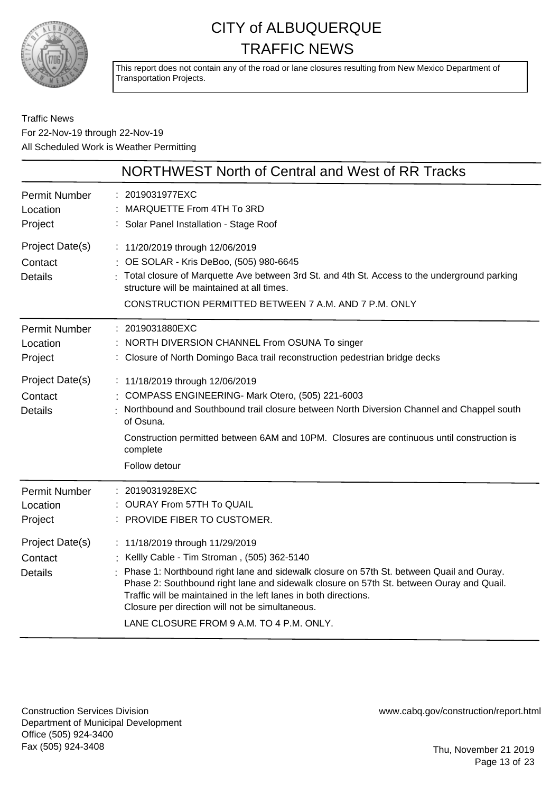

This report does not contain any of the road or lane closures resulting from New Mexico Department of Transportation Projects.

Traffic News For 22-Nov-19 through 22-Nov-19 All Scheduled Work is Weather Permitting

|                                              | NORTHWEST North of Central and West of RR Tracks                                                                                                                                                                                                                                                                                                                                                                                           |
|----------------------------------------------|--------------------------------------------------------------------------------------------------------------------------------------------------------------------------------------------------------------------------------------------------------------------------------------------------------------------------------------------------------------------------------------------------------------------------------------------|
| <b>Permit Number</b><br>Location<br>Project  | 2019031977EXC<br>: MARQUETTE From 4TH To 3RD<br>: Solar Panel Installation - Stage Roof                                                                                                                                                                                                                                                                                                                                                    |
| Project Date(s)<br>Contact<br><b>Details</b> | : 11/20/2019 through 12/06/2019<br>: OE SOLAR - Kris DeBoo, (505) 980-6645<br>Total closure of Marquette Ave between 3rd St. and 4th St. Access to the underground parking<br>structure will be maintained at all times.<br>CONSTRUCTION PERMITTED BETWEEN 7 A.M. AND 7 P.M. ONLY                                                                                                                                                          |
| <b>Permit Number</b><br>Location<br>Project  | : 2019031880EXC<br>NORTH DIVERSION CHANNEL From OSUNA To singer<br>: Closure of North Domingo Baca trail reconstruction pedestrian bridge decks                                                                                                                                                                                                                                                                                            |
| Project Date(s)<br>Contact<br><b>Details</b> | : 11/18/2019 through 12/06/2019<br>COMPASS ENGINEERING- Mark Otero, (505) 221-6003<br>Northbound and Southbound trail closure between North Diversion Channel and Chappel south<br>of Osuna.<br>Construction permitted between 6AM and 10PM. Closures are continuous until construction is<br>complete<br>Follow detour                                                                                                                    |
| <b>Permit Number</b><br>Location<br>Project  | : 2019031928EXC<br>: OURAY From 57TH To QUAIL<br>PROVIDE FIBER TO CUSTOMER.                                                                                                                                                                                                                                                                                                                                                                |
| Project Date(s)<br>Contact<br><b>Details</b> | : 11/18/2019 through 11/29/2019<br>: Kellly Cable - Tim Stroman, (505) 362-5140<br>Phase 1: Northbound right lane and sidewalk closure on 57th St. between Quail and Ouray.<br>Phase 2: Southbound right lane and sidewalk closure on 57th St. between Ouray and Quail.<br>Traffic will be maintained in the left lanes in both directions.<br>Closure per direction will not be simultaneous.<br>LANE CLOSURE FROM 9 A.M. TO 4 P.M. ONLY. |

Construction Services Division Department of Municipal Development Office (505) 924-3400 Fax (505) 924-3408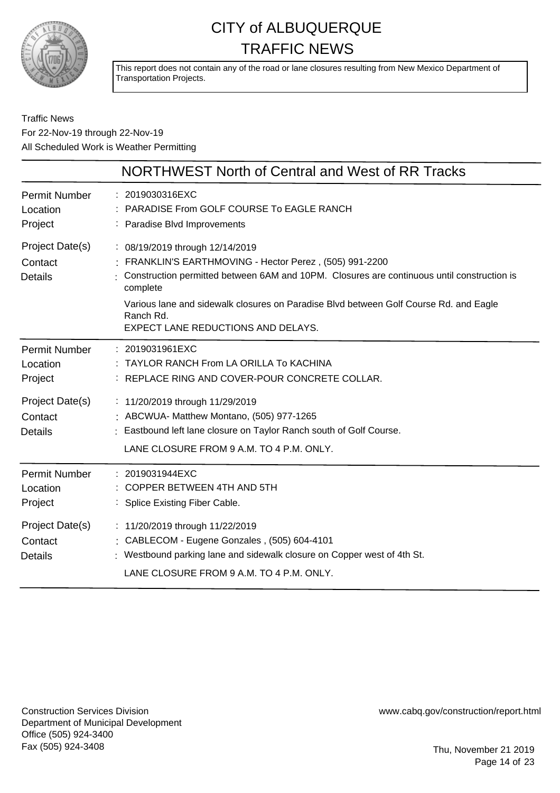

This report does not contain any of the road or lane closures resulting from New Mexico Department of Transportation Projects.

#### Traffic News For 22-Nov-19 through 22-Nov-19 All Scheduled Work is Weather Permitting

|                                              | NORTHWEST North of Central and West of RR Tracks                                                                                                                                                                                                                                                                                                 |
|----------------------------------------------|--------------------------------------------------------------------------------------------------------------------------------------------------------------------------------------------------------------------------------------------------------------------------------------------------------------------------------------------------|
| <b>Permit Number</b><br>Location<br>Project  | : 2019030316EXC<br>: PARADISE From GOLF COURSE To EAGLE RANCH<br>: Paradise Blvd Improvements                                                                                                                                                                                                                                                    |
| Project Date(s)<br>Contact<br><b>Details</b> | : 08/19/2019 through 12/14/2019<br>: FRANKLIN'S EARTHMOVING - Hector Perez, (505) 991-2200<br>Construction permitted between 6AM and 10PM. Closures are continuous until construction is<br>complete<br>Various lane and sidewalk closures on Paradise Blvd between Golf Course Rd. and Eagle<br>Ranch Rd.<br>EXPECT LANE REDUCTIONS AND DELAYS. |
| <b>Permit Number</b><br>Location<br>Project  | : 2019031961EXC<br>: TAYLOR RANCH From LA ORILLA To KACHINA<br>: REPLACE RING AND COVER-POUR CONCRETE COLLAR.                                                                                                                                                                                                                                    |
| Project Date(s)<br>Contact<br><b>Details</b> | : 11/20/2019 through 11/29/2019<br>: ABCWUA- Matthew Montano, (505) 977-1265<br>: Eastbound left lane closure on Taylor Ranch south of Golf Course.<br>LANE CLOSURE FROM 9 A.M. TO 4 P.M. ONLY.                                                                                                                                                  |
| Permit Number<br>Location<br>Project         | : 2019031944EXC<br>: COPPER BETWEEN 4TH AND 5TH<br>: Splice Existing Fiber Cable.                                                                                                                                                                                                                                                                |
| Project Date(s)<br>Contact<br><b>Details</b> | : 11/20/2019 through 11/22/2019<br>: CABLECOM - Eugene Gonzales, (505) 604-4101<br>: Westbound parking lane and sidewalk closure on Copper west of 4th St.<br>LANE CLOSURE FROM 9 A.M. TO 4 P.M. ONLY.                                                                                                                                           |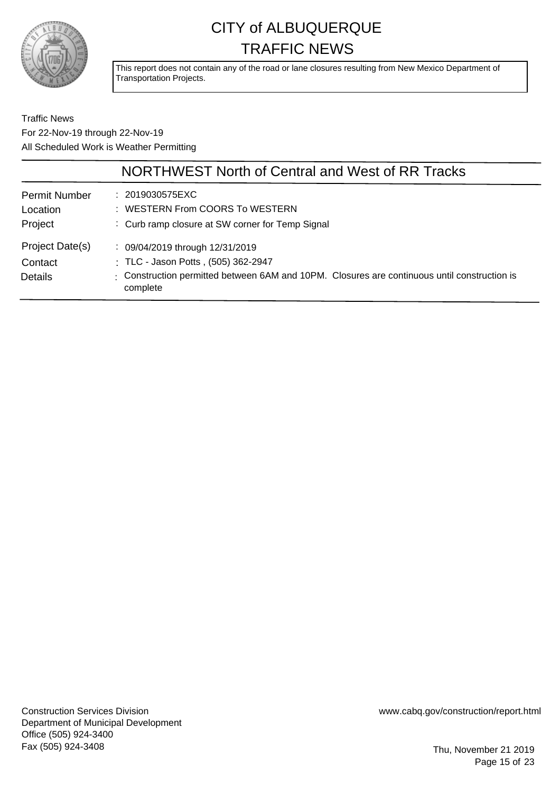

This report does not contain any of the road or lane closures resulting from New Mexico Department of Transportation Projects.

Traffic News For 22-Nov-19 through 22-Nov-19 All Scheduled Work is Weather Permitting

|                                              | NORTHWEST North of Central and West of RR Tracks                                                                                                                                   |
|----------------------------------------------|------------------------------------------------------------------------------------------------------------------------------------------------------------------------------------|
| <b>Permit Number</b><br>Location<br>Project  | : 2019030575EXC<br>: WESTERN From COORS To WESTERN<br>: Curb ramp closure at SW corner for Temp Signal                                                                             |
| Project Date(s)<br>Contact<br><b>Details</b> | : 09/04/2019 through 12/31/2019<br>: TLC - Jason Potts, (505) 362-2947<br>: Construction permitted between 6AM and 10PM. Closures are continuous until construction is<br>complete |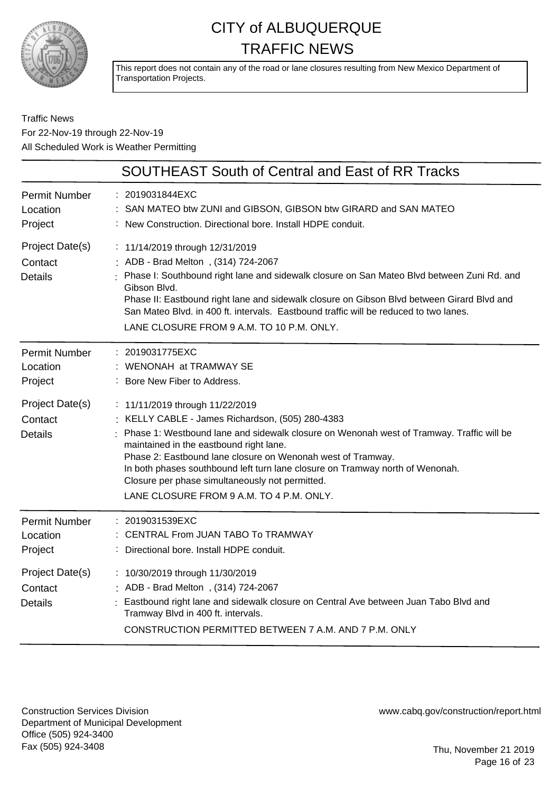

This report does not contain any of the road or lane closures resulting from New Mexico Department of Transportation Projects.

#### Traffic News For 22-Nov-19 through 22-Nov-19 All Scheduled Work is Weather Permitting

|                                              | <b>SOUTHEAST South of Central and East of RR Tracks</b>                                                                                                                                                                                                                                                                                                                                                                                                                 |
|----------------------------------------------|-------------------------------------------------------------------------------------------------------------------------------------------------------------------------------------------------------------------------------------------------------------------------------------------------------------------------------------------------------------------------------------------------------------------------------------------------------------------------|
| <b>Permit Number</b><br>Location<br>Project  | : 2019031844EXC<br>SAN MATEO btw ZUNI and GIBSON, GIBSON btw GIRARD and SAN MATEO<br>: New Construction. Directional bore. Install HDPE conduit.                                                                                                                                                                                                                                                                                                                        |
| Project Date(s)<br>Contact<br><b>Details</b> | : 11/14/2019 through 12/31/2019<br>: ADB - Brad Melton, (314) 724-2067<br>: Phase I: Southbound right lane and sidewalk closure on San Mateo Blvd between Zuni Rd. and<br>Gibson Blvd.<br>Phase II: Eastbound right lane and sidewalk closure on Gibson Blvd between Girard Blvd and<br>San Mateo Blvd. in 400 ft. intervals. Eastbound traffic will be reduced to two lanes.<br>LANE CLOSURE FROM 9 A.M. TO 10 P.M. ONLY.                                              |
| <b>Permit Number</b><br>Location<br>Project  | : 2019031775EXC<br>: WENONAH at TRAMWAY SE<br>Bore New Fiber to Address.                                                                                                                                                                                                                                                                                                                                                                                                |
| Project Date(s)<br>Contact<br><b>Details</b> | : 11/11/2019 through 11/22/2019<br>KELLY CABLE - James Richardson, (505) 280-4383<br>Phase 1: Westbound lane and sidewalk closure on Wenonah west of Tramway. Traffic will be<br>maintained in the eastbound right lane.<br>Phase 2: Eastbound lane closure on Wenonah west of Tramway.<br>In both phases southbound left turn lane closure on Tramway north of Wenonah.<br>Closure per phase simultaneously not permitted.<br>LANE CLOSURE FROM 9 A.M. TO 4 P.M. ONLY. |
| <b>Permit Number</b><br>Location<br>Project  | : 2019031539EXC<br>CENTRAL From JUAN TABO To TRAMWAY<br>Directional bore. Install HDPE conduit.                                                                                                                                                                                                                                                                                                                                                                         |
| Project Date(s)<br>Contact<br><b>Details</b> | : 10/30/2019 through 11/30/2019<br>: ADB - Brad Melton, (314) 724-2067<br>Eastbound right lane and sidewalk closure on Central Ave between Juan Tabo Blvd and<br>Tramway Blvd in 400 ft. intervals.<br>CONSTRUCTION PERMITTED BETWEEN 7 A.M. AND 7 P.M. ONLY                                                                                                                                                                                                            |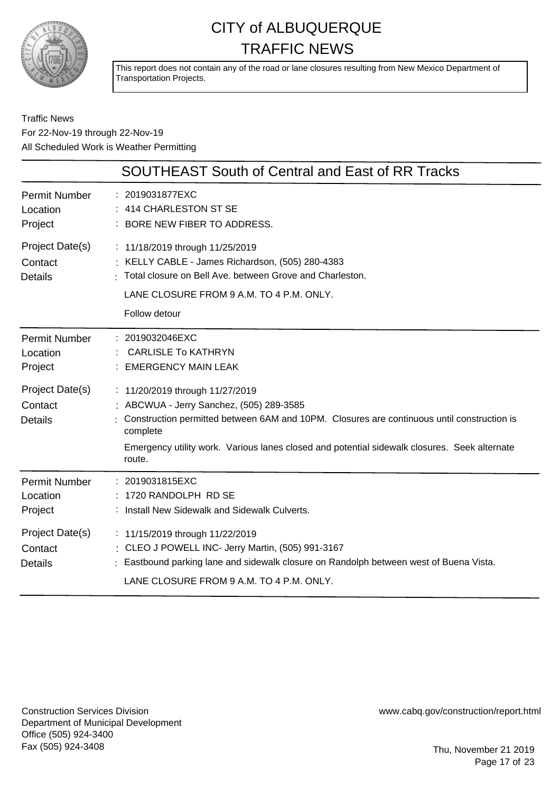

This report does not contain any of the road or lane closures resulting from New Mexico Department of Transportation Projects.

Traffic News For 22-Nov-19 through 22-Nov-19 All Scheduled Work is Weather Permitting

|                                              | SOUTHEAST South of Central and East of RR Tracks                                                                                                                                                                                                                                                |
|----------------------------------------------|-------------------------------------------------------------------------------------------------------------------------------------------------------------------------------------------------------------------------------------------------------------------------------------------------|
| <b>Permit Number</b><br>Location<br>Project  | : 2019031877EXC<br>414 CHARLESTON ST SE<br>: BORE NEW FIBER TO ADDRESS.                                                                                                                                                                                                                         |
| Project Date(s)<br>Contact<br><b>Details</b> | : 11/18/2019 through 11/25/2019<br>: KELLY CABLE - James Richardson, (505) 280-4383<br>: Total closure on Bell Ave. between Grove and Charleston.<br>LANE CLOSURE FROM 9 A.M. TO 4 P.M. ONLY.<br>Follow detour                                                                                  |
| <b>Permit Number</b><br>Location<br>Project  | : 2019032046EXC<br><b>CARLISLE To KATHRYN</b><br><b>EMERGENCY MAIN LEAK</b>                                                                                                                                                                                                                     |
| Project Date(s)<br>Contact<br><b>Details</b> | : 11/20/2019 through 11/27/2019<br>: ABCWUA - Jerry Sanchez, (505) 289-3585<br>Construction permitted between 6AM and 10PM. Closures are continuous until construction is<br>complete<br>Emergency utility work. Various lanes closed and potential sidewalk closures. Seek alternate<br>route. |
| <b>Permit Number</b><br>Location<br>Project  | : 2019031815EXC<br>1720 RANDOLPH RD SE<br>: Install New Sidewalk and Sidewalk Culverts.                                                                                                                                                                                                         |
| Project Date(s)<br>Contact<br><b>Details</b> | : 11/15/2019 through 11/22/2019<br>: CLEO J POWELL INC- Jerry Martin, (505) 991-3167<br>Eastbound parking lane and sidewalk closure on Randolph between west of Buena Vista.<br>LANE CLOSURE FROM 9 A.M. TO 4 P.M. ONLY.                                                                        |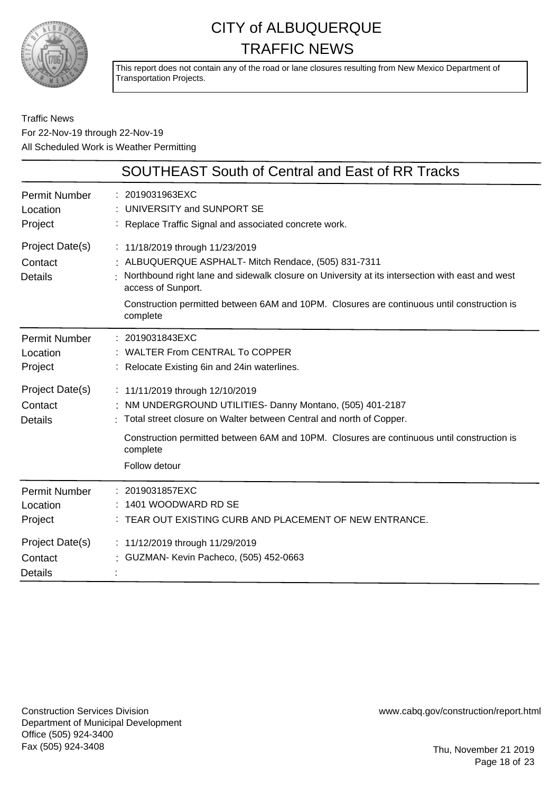

This report does not contain any of the road or lane closures resulting from New Mexico Department of Transportation Projects.

Traffic News For 22-Nov-19 through 22-Nov-19 All Scheduled Work is Weather Permitting

|                                              | <b>SOUTHEAST South of Central and East of RR Tracks</b>                                                                                                                                                                                                                                                                    |
|----------------------------------------------|----------------------------------------------------------------------------------------------------------------------------------------------------------------------------------------------------------------------------------------------------------------------------------------------------------------------------|
| <b>Permit Number</b><br>Location<br>Project  | : 2019031963EXC<br>: UNIVERSITY and SUNPORT SE<br>: Replace Traffic Signal and associated concrete work.                                                                                                                                                                                                                   |
| Project Date(s)<br>Contact<br><b>Details</b> | : 11/18/2019 through 11/23/2019<br>: ALBUQUERQUE ASPHALT- Mitch Rendace, (505) 831-7311<br>Northbound right lane and sidewalk closure on University at its intersection with east and west<br>access of Sunport.<br>Construction permitted between 6AM and 10PM. Closures are continuous until construction is<br>complete |
| <b>Permit Number</b><br>Location<br>Project  | : 2019031843EXC<br>: WALTER From CENTRAL To COPPER<br>: Relocate Existing 6in and 24in waterlines.                                                                                                                                                                                                                         |
| Project Date(s)<br>Contact<br><b>Details</b> | : 11/11/2019 through 12/10/2019<br>: NM UNDERGROUND UTILITIES- Danny Montano, (505) 401-2187<br>: Total street closure on Walter between Central and north of Copper.<br>Construction permitted between 6AM and 10PM. Closures are continuous until construction is<br>complete<br>Follow detour                           |
| Permit Number<br>Location<br>Project         | : 2019031857EXC<br>1401 WOODWARD RD SE<br>: TEAR OUT EXISTING CURB AND PLACEMENT OF NEW ENTRANCE.                                                                                                                                                                                                                          |
| Project Date(s)<br>Contact<br><b>Details</b> | : 11/12/2019 through 11/29/2019<br>: GUZMAN- Kevin Pacheco, (505) 452-0663                                                                                                                                                                                                                                                 |

Construction Services Division Department of Municipal Development Office (505) 924-3400 Fax (505) 924-3408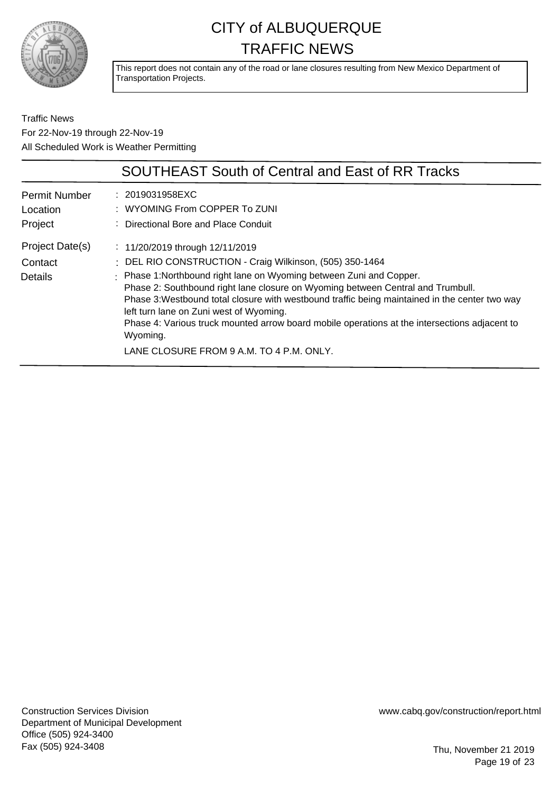

This report does not contain any of the road or lane closures resulting from New Mexico Department of Transportation Projects.

Traffic News For 22-Nov-19 through 22-Nov-19 All Scheduled Work is Weather Permitting

|                                             | <b>SOUTHEAST South of Central and East of RR Tracks</b>                                                                                                                                                                                                                                                                                                                                                                                                                                                                                                          |
|---------------------------------------------|------------------------------------------------------------------------------------------------------------------------------------------------------------------------------------------------------------------------------------------------------------------------------------------------------------------------------------------------------------------------------------------------------------------------------------------------------------------------------------------------------------------------------------------------------------------|
| <b>Permit Number</b><br>Location<br>Project | : 2019031958EXC<br>: WYOMING From COPPER To ZUNI<br>: Directional Bore and Place Conduit                                                                                                                                                                                                                                                                                                                                                                                                                                                                         |
| Project Date(s)<br>Contact<br>Details       | : $11/20/2019$ through $12/11/2019$<br>: DEL RIO CONSTRUCTION - Craig Wilkinson, (505) 350-1464<br>: Phase 1: Northbound right lane on Wyoming between Zuni and Copper.<br>Phase 2: Southbound right lane closure on Wyoming between Central and Trumbull.<br>Phase 3: Westbound total closure with westbound traffic being maintained in the center two way<br>left turn lane on Zuni west of Wyoming.<br>Phase 4: Various truck mounted arrow board mobile operations at the intersections adjacent to<br>Wyoming.<br>LANE CLOSURE FROM 9 A.M. TO 4 P.M. ONLY. |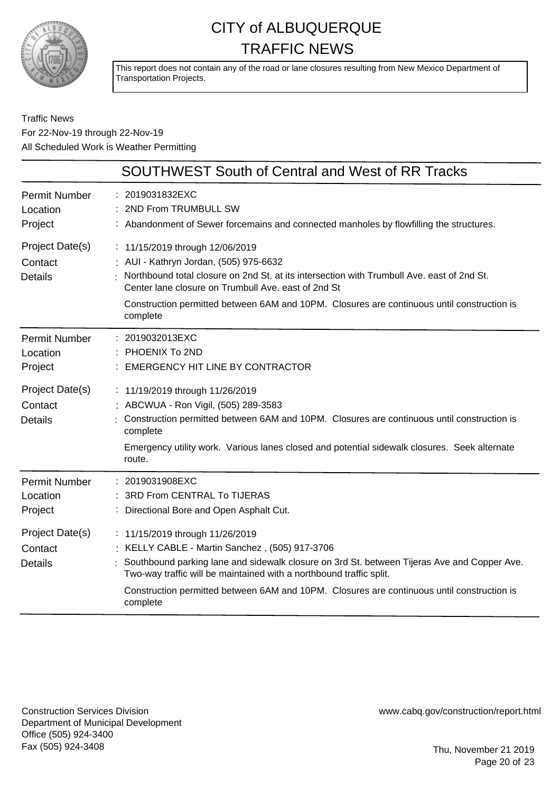

This report does not contain any of the road or lane closures resulting from New Mexico Department of Transportation Projects.

Traffic News For 22-Nov-19 through 22-Nov-19 All Scheduled Work is Weather Permitting

|                                                                                             | <b>SOUTHWEST South of Central and West of RR Tracks</b>                                                                                                                                                                                                                                                                                                                                                                                                     |
|---------------------------------------------------------------------------------------------|-------------------------------------------------------------------------------------------------------------------------------------------------------------------------------------------------------------------------------------------------------------------------------------------------------------------------------------------------------------------------------------------------------------------------------------------------------------|
| <b>Permit Number</b><br>Location<br>Project                                                 | : 2019031832EXC<br>2ND From TRUMBULL SW<br>: Abandonment of Sewer forcemains and connected manholes by flowfilling the structures.                                                                                                                                                                                                                                                                                                                          |
| Project Date(s)<br>Contact<br><b>Details</b>                                                | : 11/15/2019 through 12/06/2019<br>: AUI - Kathryn Jordan, (505) 975-6632<br>Northbound total closure on 2nd St. at its intersection with Trumbull Ave. east of 2nd St.<br>Center lane closure on Trumbull Ave, east of 2nd St<br>Construction permitted between 6AM and 10PM. Closures are continuous until construction is<br>complete                                                                                                                    |
| <b>Permit Number</b><br>Location<br>Project                                                 | : 2019032013EXC<br>PHOENIX To 2ND<br><b>EMERGENCY HIT LINE BY CONTRACTOR</b>                                                                                                                                                                                                                                                                                                                                                                                |
| Project Date(s)<br>Contact<br><b>Details</b>                                                | : 11/19/2019 through 11/26/2019<br>ABCWUA - Ron Vigil, (505) 289-3583<br>Construction permitted between 6AM and 10PM. Closures are continuous until construction is<br>complete<br>Emergency utility work. Various lanes closed and potential sidewalk closures. Seek alternate<br>route.                                                                                                                                                                   |
| <b>Permit Number</b><br>Location<br>Project<br>Project Date(s)<br>Contact<br><b>Details</b> | : 2019031908EXC<br>3RD From CENTRAL To TIJERAS<br>Directional Bore and Open Asphalt Cut.<br>: 11/15/2019 through 11/26/2019<br>KELLY CABLE - Martin Sanchez, (505) 917-3706<br>Southbound parking lane and sidewalk closure on 3rd St. between Tijeras Ave and Copper Ave.<br>Two-way traffic will be maintained with a northbound traffic split.<br>Construction permitted between 6AM and 10PM. Closures are continuous until construction is<br>complete |

Construction Services Division Department of Municipal Development Office (505) 924-3400 Fax (505) 924-3408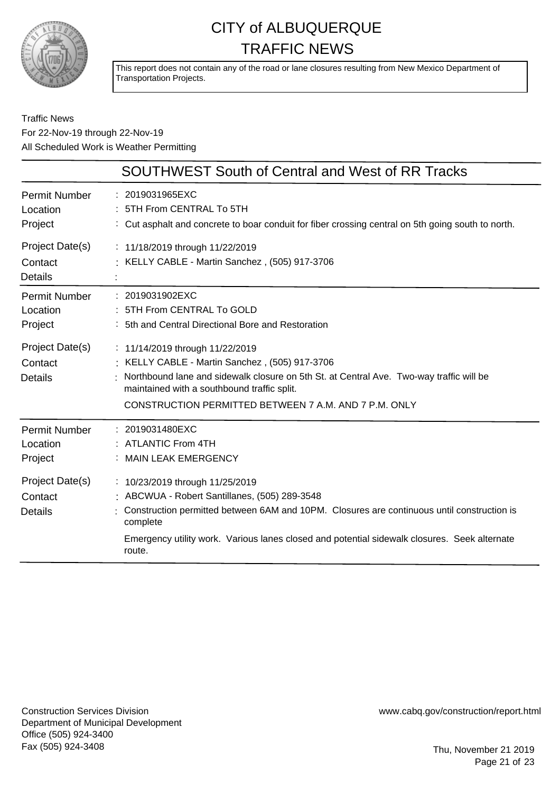

This report does not contain any of the road or lane closures resulting from New Mexico Department of Transportation Projects.

#### Traffic News For 22-Nov-19 through 22-Nov-19 All Scheduled Work is Weather Permitting

|                                              | <b>SOUTHWEST South of Central and West of RR Tracks</b>                                                                                                                                                                                                                                              |
|----------------------------------------------|------------------------------------------------------------------------------------------------------------------------------------------------------------------------------------------------------------------------------------------------------------------------------------------------------|
| <b>Permit Number</b><br>Location<br>Project  | : 2019031965EXC<br>: 5TH From CENTRAL To 5TH<br>: Cut asphalt and concrete to boar conduit for fiber crossing central on 5th going south to north.                                                                                                                                                   |
| Project Date(s)<br>Contact<br><b>Details</b> | : 11/18/2019 through 11/22/2019<br>: KELLY CABLE - Martin Sanchez, (505) 917-3706                                                                                                                                                                                                                    |
| <b>Permit Number</b><br>Location<br>Project  | : 2019031902EXC<br>: 5TH From CENTRAL To GOLD<br>: 5th and Central Directional Bore and Restoration                                                                                                                                                                                                  |
| Project Date(s)<br>Contact<br><b>Details</b> | : 11/14/2019 through 11/22/2019<br>: KELLY CABLE - Martin Sanchez, (505) 917-3706<br>Northbound lane and sidewalk closure on 5th St. at Central Ave. Two-way traffic will be<br>maintained with a southbound traffic split.<br>CONSTRUCTION PERMITTED BETWEEN 7 A.M. AND 7 P.M. ONLY                 |
| <b>Permit Number</b><br>Location<br>Project  | : 2019031480EXC<br>: ATLANTIC From 4TH<br>: MAIN LEAK EMERGENCY                                                                                                                                                                                                                                      |
| Project Date(s)<br>Contact<br><b>Details</b> | : 10/23/2019 through 11/25/2019<br>: ABCWUA - Robert Santillanes, (505) 289-3548<br>Construction permitted between 6AM and 10PM. Closures are continuous until construction is<br>complete<br>Emergency utility work. Various lanes closed and potential sidewalk closures. Seek alternate<br>route. |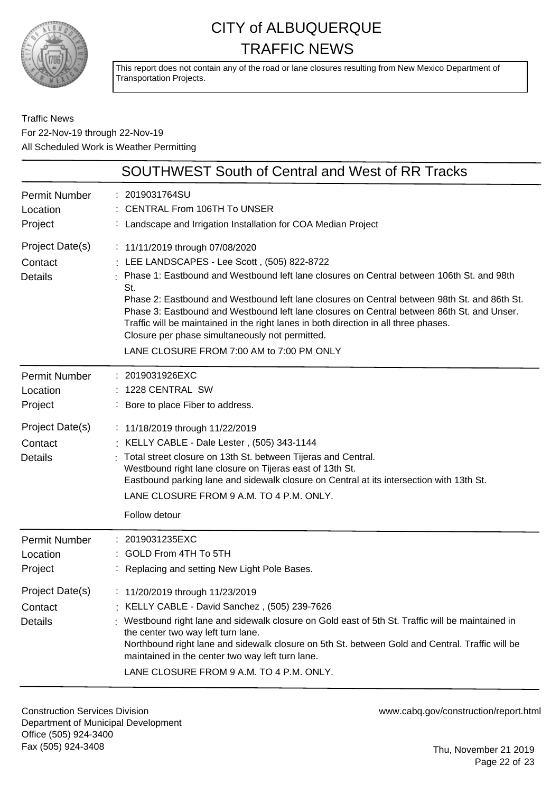

This report does not contain any of the road or lane closures resulting from New Mexico Department of Transportation Projects.

Traffic News For 22-Nov-19 through 22-Nov-19 All Scheduled Work is Weather Permitting

|                                                                | <b>SOUTHWEST South of Central and West of RR Tracks</b>                                                                                                                                                                                                                                                                                                                                                                                                                                                                                                                   |
|----------------------------------------------------------------|---------------------------------------------------------------------------------------------------------------------------------------------------------------------------------------------------------------------------------------------------------------------------------------------------------------------------------------------------------------------------------------------------------------------------------------------------------------------------------------------------------------------------------------------------------------------------|
| Permit Number<br>Location<br>Project                           | : 2019031764SU<br>: CENTRAL From 106TH To UNSER<br>: Landscape and Irrigation Installation for COA Median Project                                                                                                                                                                                                                                                                                                                                                                                                                                                         |
| Project Date(s)<br>Contact<br><b>Details</b>                   | : 11/11/2019 through 07/08/2020<br>: LEE LANDSCAPES - Lee Scott, (505) 822-8722<br>Phase 1: Eastbound and Westbound left lane closures on Central between 106th St. and 98th<br>St.<br>Phase 2: Eastbound and Westbound left lane closures on Central between 98th St. and 86th St.<br>Phase 3: Eastbound and Westbound left lane closures on Central between 86th St. and Unser.<br>Traffic will be maintained in the right lanes in both direction in all three phases.<br>Closure per phase simultaneously not permitted.<br>LANE CLOSURE FROM 7:00 AM to 7:00 PM ONLY |
| <b>Permit Number</b><br>Location<br>Project<br>Project Date(s) | : 2019031926EXC<br>: 1228 CENTRAL SW<br>: Bore to place Fiber to address.<br>: 11/18/2019 through 11/22/2019                                                                                                                                                                                                                                                                                                                                                                                                                                                              |
| Contact<br><b>Details</b>                                      | : KELLY CABLE - Dale Lester, (505) 343-1144<br>Total street closure on 13th St. between Tijeras and Central.<br>Westbound right lane closure on Tijeras east of 13th St.<br>Eastbound parking lane and sidewalk closure on Central at its intersection with 13th St.<br>LANE CLOSURE FROM 9 A.M. TO 4 P.M. ONLY.<br>Follow detour                                                                                                                                                                                                                                         |
| <b>Permit Number</b><br>Location<br>Project                    | : 2019031235EXC<br>: GOLD From 4TH To 5TH<br>: Replacing and setting New Light Pole Bases.                                                                                                                                                                                                                                                                                                                                                                                                                                                                                |
| Project Date(s)<br>Contact<br><b>Details</b>                   | 11/20/2019 through 11/23/2019<br>: KELLY CABLE - David Sanchez, (505) 239-7626<br>Westbound right lane and sidewalk closure on Gold east of 5th St. Traffic will be maintained in<br>the center two way left turn lane.<br>Northbound right lane and sidewalk closure on 5th St. between Gold and Central. Traffic will be<br>maintained in the center two way left turn lane.<br>LANE CLOSURE FROM 9 A.M. TO 4 P.M. ONLY.                                                                                                                                                |

Construction Services Division Department of Municipal Development Office (505) 924-3400 Fax (505) 924-3408